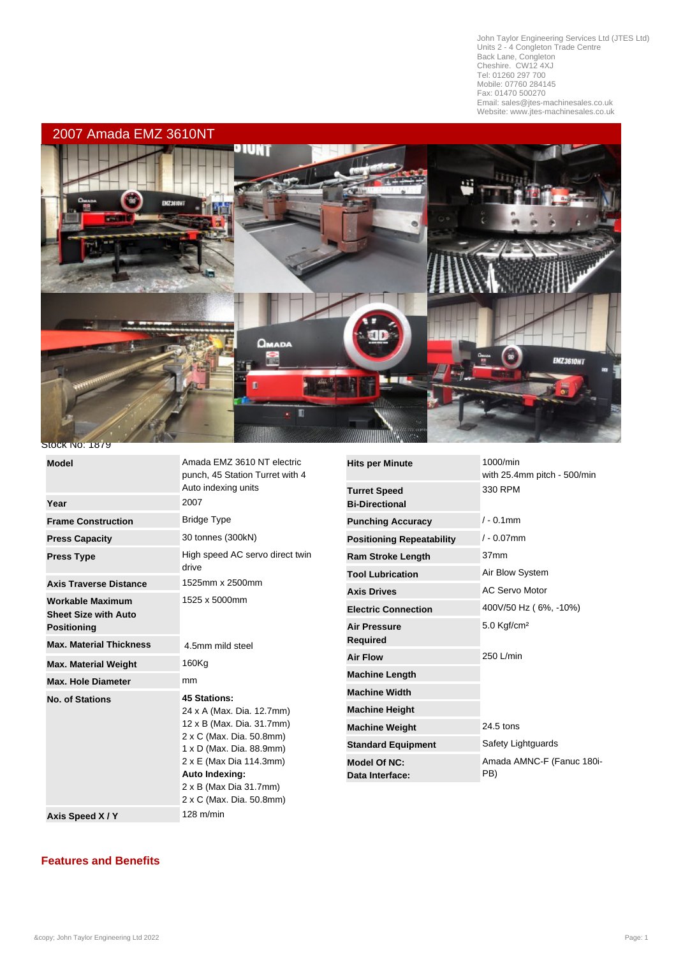John Taylor Engineering Services Ltd (JTES Ltd) Units 2 - 4 Congleton Trade Centre Back Lane, Congleton Cheshire. CW12 4XJ Tel: 01260 297 700 Mobile: 07760 284145 Fax: 01470 500270 Email: sales@jtes-machinesales.co.uk Website: www.jtes-machinesales.co.uk

L



## **Stock No: 1879**

| Auto indexing units<br>2007<br>Year<br><b>Bridge Type</b><br><b>Frame Construction</b><br>30 tonnes (300kN)<br><b>Press Capacity</b><br>High speed AC servo direct twin<br><b>Press Type</b><br>drive<br>1525mm x 2500mm<br><b>Axis Traverse Distance</b><br>1525 x 5000mm<br><b>Workable Maximum</b><br><b>Sheet Size with Auto</b><br><b>Positioning</b><br><b>Max. Material Thickness</b><br>4.5mm mild steel<br>160Kg<br><b>Max. Material Weight</b><br><b>Max. Hole Diameter</b><br>mm<br><b>45 Stations:</b><br><b>No. of Stations</b><br>24 x A (Max. Dia. 12.7mm)<br>12 x B (Max. Dia. 31.7mm)<br>2 x C (Max. Dia. 50.8mm)<br>1 x D (Max. Dia. 88.9mm)<br>2 x E (Max Dia 114.3mm) | <b>Model</b> | Amada EMZ 3610 NT electric<br>punch, 45 Station Turret with 4 | <b>Hits</b> |
|-------------------------------------------------------------------------------------------------------------------------------------------------------------------------------------------------------------------------------------------------------------------------------------------------------------------------------------------------------------------------------------------------------------------------------------------------------------------------------------------------------------------------------------------------------------------------------------------------------------------------------------------------------------------------------------------|--------------|---------------------------------------------------------------|-------------|
|                                                                                                                                                                                                                                                                                                                                                                                                                                                                                                                                                                                                                                                                                           |              |                                                               | Tur         |
|                                                                                                                                                                                                                                                                                                                                                                                                                                                                                                                                                                                                                                                                                           |              |                                                               | Bi-L        |
|                                                                                                                                                                                                                                                                                                                                                                                                                                                                                                                                                                                                                                                                                           |              |                                                               | Pun         |
|                                                                                                                                                                                                                                                                                                                                                                                                                                                                                                                                                                                                                                                                                           |              |                                                               | Pos         |
|                                                                                                                                                                                                                                                                                                                                                                                                                                                                                                                                                                                                                                                                                           |              |                                                               | Ran         |
|                                                                                                                                                                                                                                                                                                                                                                                                                                                                                                                                                                                                                                                                                           |              |                                                               | Too         |
|                                                                                                                                                                                                                                                                                                                                                                                                                                                                                                                                                                                                                                                                                           |              |                                                               | Axi:        |
|                                                                                                                                                                                                                                                                                                                                                                                                                                                                                                                                                                                                                                                                                           |              |                                                               | Ele         |
|                                                                                                                                                                                                                                                                                                                                                                                                                                                                                                                                                                                                                                                                                           |              |                                                               | Air         |
|                                                                                                                                                                                                                                                                                                                                                                                                                                                                                                                                                                                                                                                                                           |              |                                                               | Rec         |
|                                                                                                                                                                                                                                                                                                                                                                                                                                                                                                                                                                                                                                                                                           |              |                                                               | Air         |
|                                                                                                                                                                                                                                                                                                                                                                                                                                                                                                                                                                                                                                                                                           |              |                                                               | Mac         |
|                                                                                                                                                                                                                                                                                                                                                                                                                                                                                                                                                                                                                                                                                           |              |                                                               | Mac         |
|                                                                                                                                                                                                                                                                                                                                                                                                                                                                                                                                                                                                                                                                                           |              |                                                               |             |
|                                                                                                                                                                                                                                                                                                                                                                                                                                                                                                                                                                                                                                                                                           |              |                                                               | Mac         |
|                                                                                                                                                                                                                                                                                                                                                                                                                                                                                                                                                                                                                                                                                           |              |                                                               | Mac         |
|                                                                                                                                                                                                                                                                                                                                                                                                                                                                                                                                                                                                                                                                                           |              |                                                               | Star        |
|                                                                                                                                                                                                                                                                                                                                                                                                                                                                                                                                                                                                                                                                                           |              |                                                               | <b>Mod</b>  |
| Auto Indexing:                                                                                                                                                                                                                                                                                                                                                                                                                                                                                                                                                                                                                                                                            |              |                                                               | Dat         |
| 2 x B (Max Dia 31.7mm)<br>2 x C (Max. Dia. 50.8mm)                                                                                                                                                                                                                                                                                                                                                                                                                                                                                                                                                                                                                                        |              |                                                               |             |
| $128$ m/min<br>Axis Speed X/Y                                                                                                                                                                                                                                                                                                                                                                                                                                                                                                                                                                                                                                                             |              |                                                               |             |

| <b>Hits per Minute</b>                       | 1000/min<br>with 25.4mm pitch - 500/min |
|----------------------------------------------|-----------------------------------------|
| <b>Turret Speed</b><br><b>Bi-Directional</b> | 330 RPM                                 |
| <b>Punching Accuracy</b>                     | $/ - 0.1$ mm                            |
| <b>Positioning Repeatability</b>             | $/ - 0.07$ mm                           |
| <b>Ram Stroke Length</b>                     | 37mm                                    |
| <b>Tool Lubrication</b>                      | Air Blow System                         |
| <b>Axis Drives</b>                           | <b>AC Servo Motor</b>                   |
| <b>Electric Connection</b>                   | 400V/50 Hz (6%, -10%)                   |
| <b>Air Pressure</b><br><b>Required</b>       | $5.0$ Kgf/cm <sup>2</sup>               |
| <b>Air Flow</b>                              | 250 L/min                               |
| <b>Machine Length</b>                        |                                         |
| <b>Machine Width</b>                         |                                         |
| <b>Machine Height</b>                        |                                         |
| <b>Machine Weight</b>                        | 24.5 tons                               |
| <b>Standard Equipment</b>                    | Safety Lightguards                      |
| Model Of NC:<br>Data Interface:              | Amada AMNC-F (Fanuc 180i-<br>PB)        |

## **Features and Benefits**